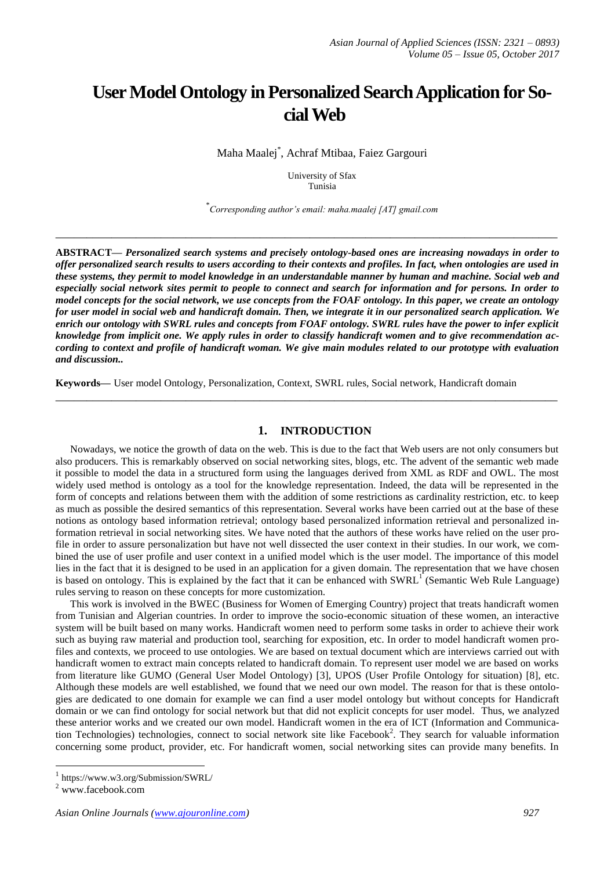# **User Model Ontology in Personalized Search Application for Social Web**

Maha Maalej\* , Achraf Mtibaa, Faiez Gargouri

University of Sfax Tunisia

\* *Corresponding author's email: maha.maalej [AT] gmail.com*

**ABSTRACT—** *Personalized search systems and precisely ontology-based ones are increasing nowadays in order to offer personalized search results to users according to their contexts and profiles. In fact, when ontologies are used in these systems, they permit to model knowledge in an understandable manner by human and machine. Social web and especially social network sites permit to people to connect and search for information and for persons. In order to model concepts for the social network, we use concepts from the FOAF ontology. In this paper, we create an ontology for user model in social web and handicraft domain. Then, we integrate it in our personalized search application. We enrich our ontology with SWRL rules and concepts from FOAF ontology. SWRL rules have the power to infer explicit knowledge from implicit one. We apply rules in order to classify handicraft women and to give recommendation according to context and profile of handicraft woman. We give main modules related to our prototype with evaluation and discussion..*

**\_\_\_\_\_\_\_\_\_\_\_\_\_\_\_\_\_\_\_\_\_\_\_\_\_\_\_\_\_\_\_\_\_\_\_\_\_\_\_\_\_\_\_\_\_\_\_\_\_\_\_\_\_\_\_\_\_\_\_\_\_\_\_\_\_\_\_\_\_\_\_\_\_\_\_\_\_\_\_\_\_**

**Keywords—** User model Ontology, Personalization, Context, SWRL rules, Social network, Handicraft domain

# **1. INTRODUCTION**

**\_\_\_\_\_\_\_\_\_\_\_\_\_\_\_\_\_\_\_\_\_\_\_\_\_\_\_\_\_\_\_\_\_\_\_\_\_\_\_\_\_\_\_\_\_\_\_\_\_\_\_\_\_\_\_\_\_\_\_\_\_\_\_\_\_\_\_\_\_\_\_\_\_\_\_\_\_\_\_\_\_**

Nowadays, we notice the growth of data on the web. This is due to the fact that Web users are not only consumers but also producers. This is remarkably observed on social networking sites, blogs, etc. The advent of the semantic web made it possible to model the data in a structured form using the languages derived from XML as RDF and OWL. The most widely used method is ontology as a tool for the knowledge representation. Indeed, the data will be represented in the form of concepts and relations between them with the addition of some restrictions as cardinality restriction, etc. to keep as much as possible the desired semantics of this representation. Several works have been carried out at the base of these notions as ontology based information retrieval; ontology based personalized information retrieval and personalized information retrieval in social networking sites. We have noted that the authors of these works have relied on the user profile in order to assure personalization but have not well dissected the user context in their studies. In our work, we combined the use of user profile and user context in a unified model which is the user model. The importance of this model lies in the fact that it is designed to be used in an application for a given domain. The representation that we have chosen is based on ontology. This is explained by the fact that it can be enhanced with  $SWRL<sup>T</sup>$  (Semantic Web Rule Language) rules serving to reason on these concepts for more customization.

This work is involved in the BWEC (Business for Women of Emerging Country) project that treats handicraft women from Tunisian and Algerian countries. In order to improve the socio-economic situation of these women, an interactive system will be built based on many works. Handicraft women need to perform some tasks in order to achieve their work such as buying raw material and production tool, searching for exposition, etc. In order to model handicraft women profiles and contexts, we proceed to use ontologies. We are based on textual document which are interviews carried out with handicraft women to extract main concepts related to handicraft domain. To represent user model we are based on works from literature like GUMO (General User Model Ontology) [3], UPOS (User Profile Ontology for situation) [8], etc. Although these models are well established, we found that we need our own model. The reason for that is these ontologies are dedicated to one domain for example we can find a user model ontology but without concepts for Handicraft domain or we can find ontology for social network but that did not explicit concepts for user model. Thus, we analyzed these anterior works and we created our own model. Handicraft women in the era of ICT (Information and Communication Technologies) technologies, connect to social network site like Facebook<sup>2</sup>. They search for valuable information concerning some product, provider, etc. For handicraft women, social networking sites can provide many benefits. In

 $\overline{a}$ 

<sup>1</sup> https://www.w3.org/Submission/SWRL/

<sup>2</sup> www.facebook.com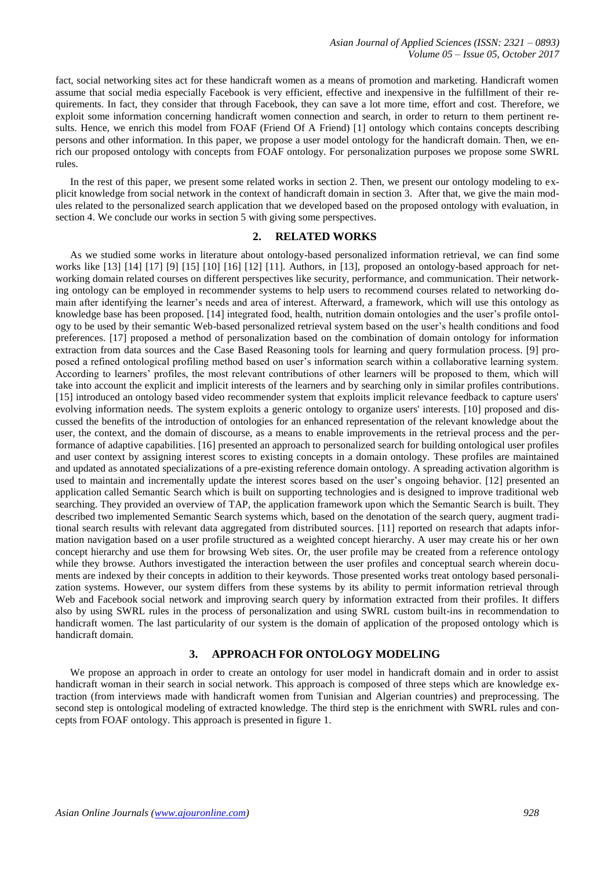fact, social networking sites act for these handicraft women as a means of promotion and marketing. Handicraft women assume that social media especially Facebook is very efficient, effective and inexpensive in the fulfillment of their requirements. In fact, they consider that through Facebook, they can save a lot more time, effort and cost. Therefore, we exploit some information concerning handicraft women connection and search, in order to return to them pertinent results. Hence, we enrich this model from FOAF (Friend Of A Friend) [1] ontology which contains concepts describing persons and other information. In this paper, we propose a user model ontology for the handicraft domain. Then, we enrich our proposed ontology with concepts from FOAF ontology. For personalization purposes we propose some SWRL rules.

In the rest of this paper, we present some related works in section 2. Then, we present our ontology modeling to explicit knowledge from social network in the context of handicraft domain in section 3. After that, we give the main modules related to the personalized search application that we developed based on the proposed ontology with evaluation, in section 4. We conclude our works in section 5 with giving some perspectives.

# **2. RELATED WORKS**

As we studied some works in literature about ontology-based personalized information retrieval, we can find some works like [13] [14] [17] [9] [15] [10] [16] [12] [11]. Authors, in [13], proposed an ontology-based approach for networking domain related courses on different perspectives like security, performance, and communication. Their networking ontology can be employed in recommender systems to help users to recommend courses related to networking domain after identifying the learner's needs and area of interest. Afterward, a framework, which will use this ontology as knowledge base has been proposed. [14] integrated food, health, nutrition domain ontologies and the user's profile ontology to be used by their semantic Web-based personalized retrieval system based on the user's health conditions and food preferences. [17] proposed a method of personalization based on the combination of domain ontology for information extraction from data sources and the Case Based Reasoning tools for learning and query formulation process. [9] proposed a refined ontological profiling method based on user's information search within a collaborative learning system. According to learners' profiles, the most relevant contributions of other learners will be proposed to them, which will take into account the explicit and implicit interests of the learners and by searching only in similar profiles contributions. [15] introduced an ontology based video recommender system that exploits implicit relevance feedback to capture users' evolving information needs. The system exploits a generic ontology to organize users' interests. [10] proposed and discussed the benefits of the introduction of ontologies for an enhanced representation of the relevant knowledge about the user, the context, and the domain of discourse, as a means to enable improvements in the retrieval process and the performance of adaptive capabilities. [16] presented an approach to personalized search for building ontological user profiles and user context by assigning interest scores to existing concepts in a domain ontology. These profiles are maintained and updated as annotated specializations of a pre-existing reference domain ontology. A spreading activation algorithm is used to maintain and incrementally update the interest scores based on the user's ongoing behavior. [12] presented an application called Semantic Search which is built on supporting technologies and is designed to improve traditional web searching. They provided an overview of TAP, the application framework upon which the Semantic Search is built. They described two implemented Semantic Search systems which, based on the denotation of the search query, augment traditional search results with relevant data aggregated from distributed sources. [11] reported on research that adapts information navigation based on a user profile structured as a weighted concept hierarchy. A user may create his or her own concept hierarchy and use them for browsing Web sites. Or, the user profile may be created from a reference ontology while they browse. Authors investigated the interaction between the user profiles and conceptual search wherein documents are indexed by their concepts in addition to their keywords. Those presented works treat ontology based personalization systems. However, our system differs from these systems by its ability to permit information retrieval through Web and Facebook social network and improving search query by information extracted from their profiles. It differs also by using SWRL rules in the process of personalization and using SWRL custom built-ins in recommendation to handicraft women. The last particularity of our system is the domain of application of the proposed ontology which is handicraft domain.

# **3. APPROACH FOR ONTOLOGY MODELING**

We propose an approach in order to create an ontology for user model in handicraft domain and in order to assist handicraft woman in their search in social network. This approach is composed of three steps which are knowledge extraction (from interviews made with handicraft women from Tunisian and Algerian countries) and preprocessing. The second step is ontological modeling of extracted knowledge. The third step is the enrichment with SWRL rules and concepts from FOAF ontology. This approach is presented in figure 1.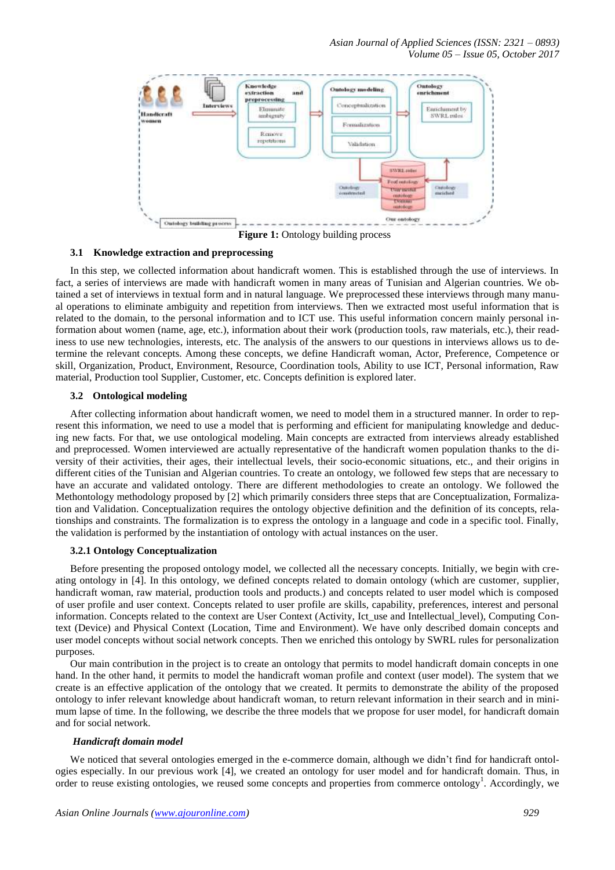*Asian Journal of Applied Sciences (ISSN: 2321 – 0893) Volume 05 – Issue 05, October 2017*



**3.1 Knowledge extraction and preprocessing**

In this step, we collected information about handicraft women. This is established through the use of interviews. In fact, a series of interviews are made with handicraft women in many areas of Tunisian and Algerian countries. We obtained a set of interviews in textual form and in natural language. We preprocessed these interviews through many manual operations to eliminate ambiguity and repetition from interviews. Then we extracted most useful information that is related to the domain, to the personal information and to ICT use. This useful information concern mainly personal information about women (name, age, etc.), information about their work (production tools, raw materials, etc.), their readiness to use new technologies, interests, etc. The analysis of the answers to our questions in interviews allows us to determine the relevant concepts. Among these concepts, we define Handicraft woman, Actor, Preference, Competence or skill, Organization, Product, Environment, Resource, Coordination tools, Ability to use ICT, Personal information, Raw material, Production tool Supplier, Customer, etc. Concepts definition is explored later.

#### **3.2 Ontological modeling**

After collecting information about handicraft women, we need to model them in a structured manner. In order to represent this information, we need to use a model that is performing and efficient for manipulating knowledge and deducing new facts. For that, we use ontological modeling. Main concepts are extracted from interviews already established and preprocessed. Women interviewed are actually representative of the handicraft women population thanks to the diversity of their activities, their ages, their intellectual levels, their socio-economic situations, etc., and their origins in different cities of the Tunisian and Algerian countries. To create an ontology, we followed few steps that are necessary to have an accurate and validated ontology. There are different methodologies to create an ontology. We followed the Methontology methodology proposed by [2] which primarily considers three steps that are Conceptualization, Formalization and Validation. Conceptualization requires the ontology objective definition and the definition of its concepts, relationships and constraints. The formalization is to express the ontology in a language and code in a specific tool. Finally, the validation is performed by the instantiation of ontology with actual instances on the user.

#### **3.2.1 Ontology Conceptualization**

Before presenting the proposed ontology model, we collected all the necessary concepts. Initially, we begin with creating ontology in [4]. In this ontology, we defined concepts related to domain ontology (which are customer, supplier, handicraft woman, raw material, production tools and products.) and concepts related to user model which is composed of user profile and user context. Concepts related to user profile are skills, capability, preferences, interest and personal information. Concepts related to the context are User Context (Activity, Ict\_use and Intellectual\_level), Computing Context (Device) and Physical Context (Location, Time and Environment). We have only described domain concepts and user model concepts without social network concepts. Then we enriched this ontology by SWRL rules for personalization purposes.

Our main contribution in the project is to create an ontology that permits to model handicraft domain concepts in one hand. In the other hand, it permits to model the handicraft woman profile and context (user model). The system that we create is an effective application of the ontology that we created. It permits to demonstrate the ability of the proposed ontology to infer relevant knowledge about handicraft woman, to return relevant information in their search and in minimum lapse of time. In the following, we describe the three models that we propose for user model, for handicraft domain and for social network.

#### *Handicraft domain model*

We noticed that several ontologies emerged in the e-commerce domain, although we didn't find for handicraft ontologies especially. In our previous work [4], we created an ontology for user model and for handicraft domain. Thus, in order to reuse existing ontologies, we reused some concepts and properties from commerce ontology<sup>1</sup>. Accordingly, we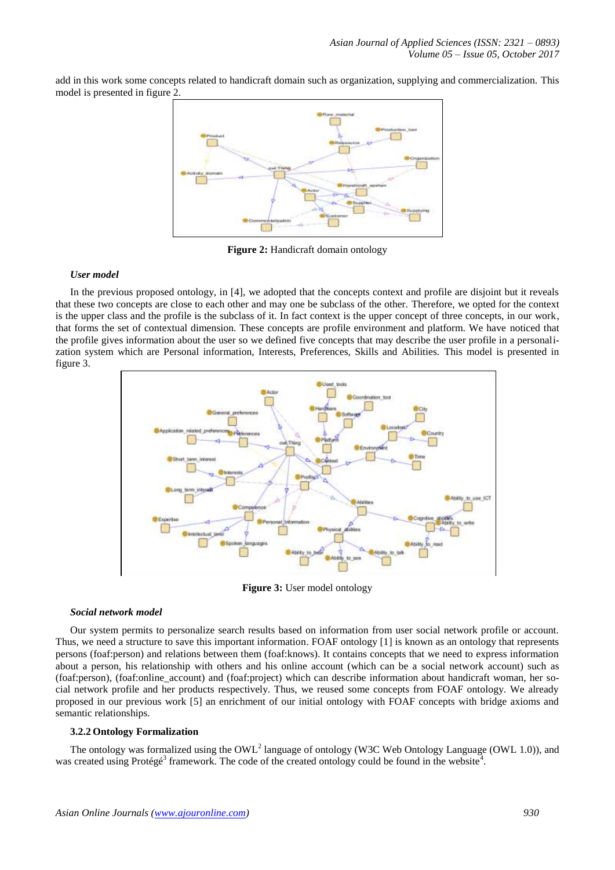add in this work some concepts related to handicraft domain such as organization, supplying and commercialization. This model is presented in figure 2.



**Figure 2:** Handicraft domain ontology

## *User model*

In the previous proposed ontology, in [4], we adopted that the concepts context and profile are disjoint but it reveals that these two concepts are close to each other and may one be subclass of the other. Therefore, we opted for the context is the upper class and the profile is the subclass of it. In fact context is the upper concept of three concepts, in our work, that forms the set of contextual dimension. These concepts are profile environment and platform. We have noticed that the profile gives information about the user so we defined five concepts that may describe the user profile in a personalization system which are Personal information, Interests, Preferences, Skills and Abilities. This model is presented in figure 3.



**Figure 3:** User model ontology

#### *Social network model*

Our system permits to personalize search results based on information from user social network profile or account. Thus, we need a structure to save this important information. FOAF ontology [1] is known as an ontology that represents persons (foaf:person) and relations between them (foaf:knows). It contains concepts that we need to express information about a person, his relationship with others and his online account (which can be a social network account) such as (foaf:person), (foaf:online\_account) and (foaf:project) which can describe information about handicraft woman, her social network profile and her products respectively. Thus, we reused some concepts from FOAF ontology. We already proposed in our previous work [5] an enrichment of our initial ontology with FOAF concepts with bridge axioms and semantic relationships.

## **3.2.2 Ontology Formalization**

The ontology was formalized using the OWL<sup>2</sup> language of ontology (W3C Web Ontology Language (OWL 1.0)), and was created using Protégé<sup>3</sup> framework. The code of the created ontology could be found in the website<sup>4</sup>.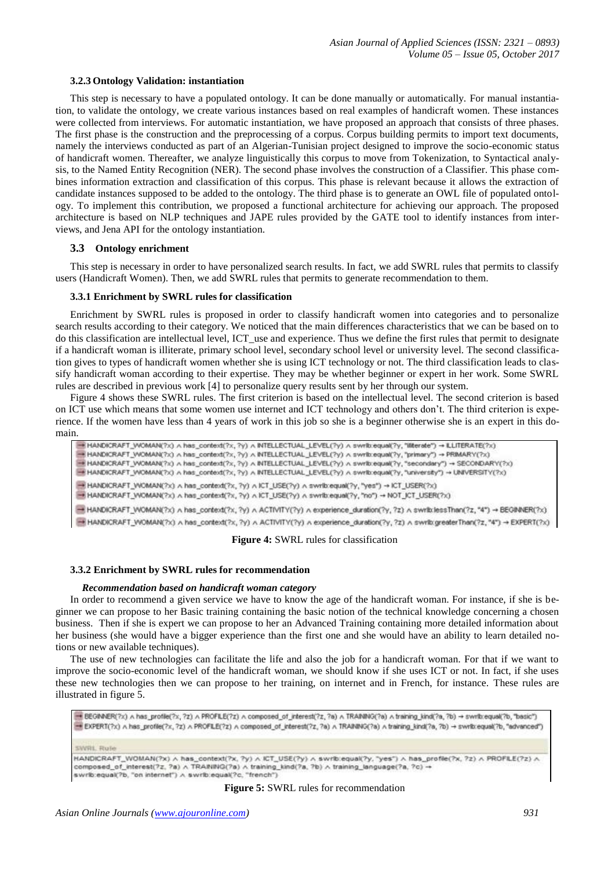#### **3.2.3 Ontology Validation: instantiation**

This step is necessary to have a populated ontology. It can be done manually or automatically. For manual instantiation, to validate the ontology, we create various instances based on real examples of handicraft women. These instances were collected from interviews. For automatic instantiation, we have proposed an approach that consists of three phases. The first phase is the construction and the preprocessing of a corpus. Corpus building permits to import text documents, namely the interviews conducted as part of an Algerian-Tunisian project designed to improve the socio-economic status of handicraft women. Thereafter, we analyze linguistically this corpus to move from Tokenization, to Syntactical analysis, to the Named Entity Recognition (NER). The second phase involves the construction of a Classifier. This phase combines information extraction and classification of this corpus. This phase is relevant because it allows the extraction of candidate instances supposed to be added to the ontology. The third phase is to generate an OWL file of populated ontology. To implement this contribution, we proposed a functional architecture for achieving our approach. The proposed architecture is based on NLP techniques and JAPE rules provided by the GATE tool to identify instances from interviews, and Jena API for the ontology instantiation.

#### **3.3 Ontology enrichment**

This step is necessary in order to have personalized search results. In fact, we add SWRL rules that permits to classify users (Handicraft Women). Then, we add SWRL rules that permits to generate recommendation to them.

#### **3.3.1 Enrichment by SWRL rules for classification**

Enrichment by SWRL rules is proposed in order to classify handicraft women into categories and to personalize search results according to their category. We noticed that the main differences characteristics that we can be based on to do this classification are intellectual level, ICT\_use and experience. Thus we define the first rules that permit to designate if a handicraft woman is illiterate, primary school level, secondary school level or university level. The second classification gives to types of handicraft women whether she is using ICT technology or not. The third classification leads to classify handicraft woman according to their expertise. They may be whether beginner or expert in her work. Some SWRL rules are described in previous work [4] to personalize query results sent by her through our system.

Figure 4 shows these SWRL rules. The first criterion is based on the intellectual level. The second criterion is based on ICT use which means that some women use internet and ICT technology and others don't. The third criterion is experience. If the women have less than 4 years of work in this job so she is a beginner otherwise she is an expert in this domain.

+ HANDICRAFT\_VVOMAN(?x) ∧ has\_context(?x, ?y) ∧ INTELLECTUAL\_LEVEL(?y) ∧ swrib:equal(?y, "literate") → ILLITERATE(?x) HANDICRAFT\_VIOMAN(?x) A has\_context(?x, ?y) A INTELLECTUAL\_LEVEL(?y) A swrib.equal(?y, "primary") => PRIMARY(?x) HANDICRAFT\_VVOMAN(?x) A has\_context(?x, ?y) A INTELLECTUAL\_LEVEL(?y) A swrib.equal(?y, "secondary") -+ SECONDARY(?x) + HANDICRAFT\_VVOMAN(?x) A has\_context(?x, ?y) A INTELLECTUAL\_LEVEL(?y) A swrib.equal(?y, "university") -> UNIVERSITY(?x) B HANDICRAFT\_WOMAN(?x) ∧ has\_context(?x, ?y) ∧ ICT\_USE(?y) ∧ swrib:equal(?y, "yes") → ICT\_USER(?x) HANDICRAFT\_WOMAN(?x) A has\_context(?x, ?y) A ICT\_USE(?y) A swrib.equal(?y, "no") -+ NOT\_ICT\_USER(?x) HANDICRAFT\_WOMAN(?x) A has\_context(?x, ?y) A ACTIVITY(?y) A experience\_duration(?y, ?z) A swrib:lessThan(?z, "4") + BEGINNER(?x) HANDICRAFT\_WOMAN(?x) A has\_context(?x, ?y) A ACTIVITY(?y) A experience\_duration(?y, ?z) A swritxgreaterThan(?z, "4") + EXPERT(?x)

**Figure 4:** SWRL rules for classification

#### **3.3.2 Enrichment by SWRL rules for recommendation**

#### *Recommendation based on handicraft woman category*

In order to recommend a given service we have to know the age of the handicraft woman. For instance, if she is beginner we can propose to her Basic training containing the basic notion of the technical knowledge concerning a chosen business. Then if she is expert we can propose to her an Advanced Training containing more detailed information about her business (she would have a bigger experience than the first one and she would have an ability to learn detailed notions or new available techniques).

The use of new technologies can facilitate the life and also the job for a handicraft woman. For that if we want to improve the socio-economic level of the handicraft woman, we should know if she uses ICT or not. In fact, if she uses these new technologies then we can propose to her training, on internet and in French, for instance. These rules are illustrated in figure 5.

=+ BEGINNER(7x) A has\_profle(7x, 7z) A PROFILE(7z) A composed\_of\_interest(7z, 7a) A TRAINING(7a) A training\_kind(7a, 7b) -+ swrib:equal(7b, "basic") EXPERT(?x) A has\_profile(?x, ?z) A PROFILE(?z) A composed\_of\_interest(?z, ?a) A TRAINING(?a) A training\_kind(?a, ?b) -> swrib:equal(?b, "advanced") SWRL Rule HANDICRAFT\_WOMAN(?x) A has\_context(?x, ?y) A ICT\_USE(?y) A swrib/equal(?y, "yes") A has\_profile(?x, ?z) A PROFILE(?z) A composed\_of\_interest(7z, 7a)  $\land$  TRAINING(7a)  $\land$  training\_kind(7a, 7b)  $\land$  training\_language(7a, 7c)  $\rightarrow$  swrib:equal(7b, "on internet")  $\land$  swrib:equal(7c, "french")

#### **Figure 5:** SWRL rules for recommendation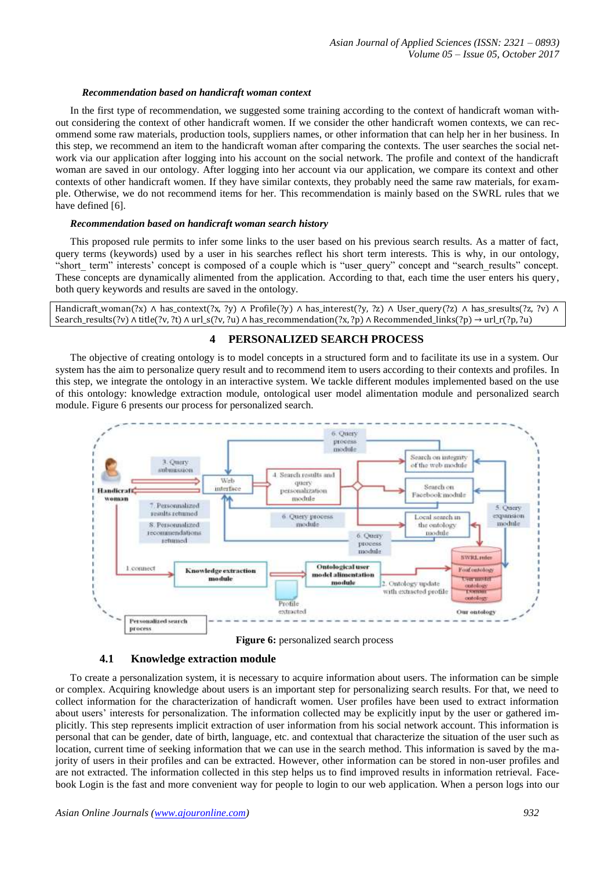## *Recommendation based on handicraft woman context*

In the first type of recommendation, we suggested some training according to the context of handicraft woman without considering the context of other handicraft women. If we consider the other handicraft women contexts, we can recommend some raw materials, production tools, suppliers names, or other information that can help her in her business. In this step, we recommend an item to the handicraft woman after comparing the contexts. The user searches the social network via our application after logging into his account on the social network. The profile and context of the handicraft woman are saved in our ontology. After logging into her account via our application, we compare its context and other contexts of other handicraft women. If they have similar contexts, they probably need the same raw materials, for example. Otherwise, we do not recommend items for her. This recommendation is mainly based on the SWRL rules that we have defined [6].

#### *Recommendation based on handicraft woman search history*

This proposed rule permits to infer some links to the user based on his previous search results. As a matter of fact, query terms (keywords) used by a user in his searches reflect his short term interests. This is why, in our ontology, "short\_term" interests' concept is composed of a couple which is "user query" concept and "search\_results" concept. These concepts are dynamically alimented from the application. According to that, each time the user enters his query, both query keywords and results are saved in the ontology.

Handicraft\_woman(?x) ∧ has\_context(?x, ?y) ∧ Profile(?y) ∧ has\_interest(?y, ?z) ∧ User\_query(?z) ∧ has\_sresults(?z, ?v) ∧ Search\_results(?v) ∧ title(?v, ?t) ∧ url\_s(?v, ?u) ∧ has\_recommendation(?x, ?p) ∧ Recommended\_links(?p) → url\_r(?p, ?u)

# **4 PERSONALIZED SEARCH PROCESS**

The objective of creating ontology is to model concepts in a structured form and to facilitate its use in a system. Our system has the aim to personalize query result and to recommend item to users according to their contexts and profiles. In this step, we integrate the ontology in an interactive system. We tackle different modules implemented based on the use of this ontology: knowledge extraction module, ontological user model alimentation module and personalized search module. Figure 6 presents our process for personalized search.



**Figure 6:** personalized search process

## **4.1 Knowledge extraction module**

To create a personalization system, it is necessary to acquire information about users. The information can be simple or complex. Acquiring knowledge about users is an important step for personalizing search results. For that, we need to collect information for the characterization of handicraft women. User profiles have been used to extract information about users' interests for personalization. The information collected may be explicitly input by the user or gathered implicitly. This step represents implicit extraction of user information from his social network account. This information is personal that can be gender, date of birth, language, etc. and contextual that characterize the situation of the user such as location, current time of seeking information that we can use in the search method. This information is saved by the majority of users in their profiles and can be extracted. However, other information can be stored in non-user profiles and are not extracted. The information collected in this step helps us to find improved results in information retrieval. Facebook Login is the fast and more convenient way for people to login to our web application. When a person logs into our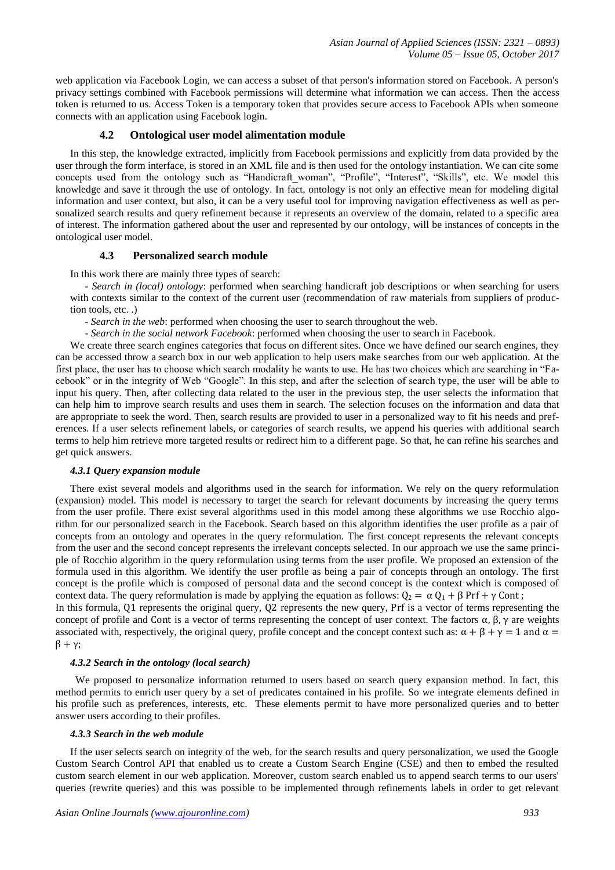web application via Facebook Login, we can access a subset of that person's information stored on Facebook. A person's privacy settings combined with Facebook permissions will determine what information we can access. Then the access token is returned to us. Access Token is a temporary token that provides secure access to Facebook APIs when someone connects with an application using Facebook login.

## **4.2 Ontological user model alimentation module**

In this step, the knowledge extracted, implicitly from Facebook permissions and explicitly from data provided by the user through the form interface, is stored in an XML file and is then used for the ontology instantiation. We can cite some concepts used from the ontology such as "Handicraft woman", "Profile", "Interest", "Skills", etc. We model this knowledge and save it through the use of ontology. In fact, ontology is not only an effective mean for modeling digital information and user context, but also, it can be a very useful tool for improving navigation effectiveness as well as personalized search results and query refinement because it represents an overview of the domain, related to a specific area of interest. The information gathered about the user and represented by our ontology, will be instances of concepts in the ontological user model.

## **4.3 Personalized search module**

In this work there are mainly three types of search:

- *Search in (local) ontology*: performed when searching handicraft job descriptions or when searching for users with contexts similar to the context of the current user (recommendation of raw materials from suppliers of production tools, etc. .)

- *Search in the web*: performed when choosing the user to search throughout the web.

- *Search in the social network Facebook*: performed when choosing the user to search in Facebook.

We create three search engines categories that focus on different sites. Once we have defined our search engines, they can be accessed throw a search box in our web application to help users make searches from our web application. At the first place, the user has to choose which search modality he wants to use. He has two choices which are searching in "Facebook" or in the integrity of Web "Google". In this step, and after the selection of search type, the user will be able to input his query. Then, after collecting data related to the user in the previous step, the user selects the information that can help him to improve search results and uses them in search. The selection focuses on the information and data that are appropriate to seek the word. Then, search results are provided to user in a personalized way to fit his needs and preferences. If a user selects refinement labels, or categories of search results, we append his queries with additional search terms to help him retrieve more targeted results or redirect him to a different page. So that, he can refine his searches and get quick answers.

## *4.3.1 Query expansion module*

There exist several models and algorithms used in the search for information. We rely on the query reformulation (expansion) model. This model is necessary to target the search for relevant documents by increasing the query terms from the user profile. There exist several algorithms used in this model among these algorithms we use Rocchio algorithm for our personalized search in the Facebook. Search based on this algorithm identifies the user profile as a pair of concepts from an ontology and operates in the query reformulation. The first concept represents the relevant concepts from the user and the second concept represents the irrelevant concepts selected. In our approach we use the same principle of Rocchio algorithm in the query reformulation using terms from the user profile. We proposed an extension of the formula used in this algorithm. We identify the user profile as being a pair of concepts through an ontology. The first concept is the profile which is composed of personal data and the second concept is the context which is composed of context data. The query reformulation is made by applying the equation as follows:  $Q_2 = \alpha Q_1 + \beta Prf + \gamma Cont$ ;

In this formula, Q1 represents the original query, Q2 represents the new query, Prf is a vector of terms representing the concept of profile and Cont is a vector of terms representing the concept of user context. The factors  $\alpha$ ,  $\beta$ ,  $\gamma$  are weights associated with, respectively, the original query, profile concept and the concept context such as:  $\alpha + \beta + \gamma = 1$  and  $\alpha =$ β + γ;

## *4.3.2 Search in the ontology (local search)*

 We proposed to personalize information returned to users based on search query expansion method. In fact, this method permits to enrich user query by a set of predicates contained in his profile. So we integrate elements defined in his profile such as preferences, interests, etc. These elements permit to have more personalized queries and to better answer users according to their profiles.

## *4.3.3 Search in the web module*

If the user selects search on integrity of the web, for the search results and query personalization, we used the Google Custom Search Control API that enabled us to create a Custom Search Engine (CSE) and then to embed the resulted custom search element in our web application. Moreover, custom search enabled us to append search terms to our users' queries (rewrite queries) and this was possible to be implemented through refinements labels in order to get relevant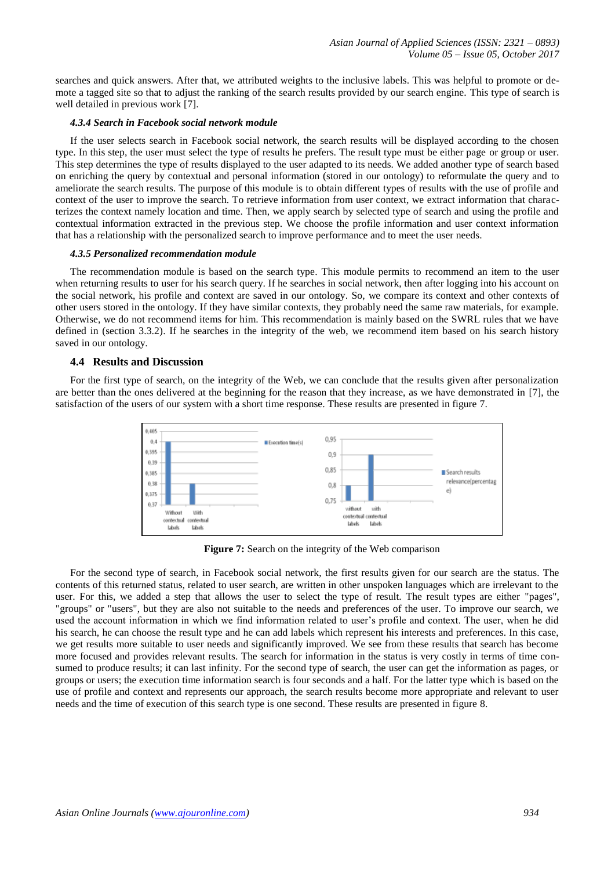searches and quick answers. After that, we attributed weights to the inclusive labels. This was helpful to promote or demote a tagged site so that to adjust the ranking of the search results provided by our search engine. This type of search is well detailed in previous work [7].

## *4.3.4 Search in Facebook social network module*

If the user selects search in Facebook social network, the search results will be displayed according to the chosen type. In this step, the user must select the type of results he prefers. The result type must be either page or group or user. This step determines the type of results displayed to the user adapted to its needs. We added another type of search based on enriching the query by contextual and personal information (stored in our ontology) to reformulate the query and to ameliorate the search results. The purpose of this module is to obtain different types of results with the use of profile and context of the user to improve the search. To retrieve information from user context, we extract information that characterizes the context namely location and time. Then, we apply search by selected type of search and using the profile and contextual information extracted in the previous step. We choose the profile information and user context information that has a relationship with the personalized search to improve performance and to meet the user needs.

#### *4.3.5 Personalized recommendation module*

The recommendation module is based on the search type. This module permits to recommend an item to the user when returning results to user for his search query. If he searches in social network, then after logging into his account on the social network, his profile and context are saved in our ontology. So, we compare its context and other contexts of other users stored in the ontology. If they have similar contexts, they probably need the same raw materials, for example. Otherwise, we do not recommend items for him. This recommendation is mainly based on the SWRL rules that we have defined in (section 3.3.2). If he searches in the integrity of the web, we recommend item based on his search history saved in our ontology.

## **4.4 Results and Discussion**

For the first type of search, on the integrity of the Web, we can conclude that the results given after personalization are better than the ones delivered at the beginning for the reason that they increase, as we have demonstrated in [7], the satisfaction of the users of our system with a short time response. These results are presented in figure 7.



**Figure 7:** Search on the integrity of the Web comparison

For the second type of search, in Facebook social network, the first results given for our search are the status. The contents of this returned status, related to user search, are written in other unspoken languages which are irrelevant to the user. For this, we added a step that allows the user to select the type of result. The result types are either "pages", "groups" or "users", but they are also not suitable to the needs and preferences of the user. To improve our search, we used the account information in which we find information related to user's profile and context. The user, when he did his search, he can choose the result type and he can add labels which represent his interests and preferences. In this case, we get results more suitable to user needs and significantly improved. We see from these results that search has become more focused and provides relevant results. The search for information in the status is very costly in terms of time consumed to produce results; it can last infinity. For the second type of search, the user can get the information as pages, or groups or users; the execution time information search is four seconds and a half. For the latter type which is based on the use of profile and context and represents our approach, the search results become more appropriate and relevant to user needs and the time of execution of this search type is one second. These results are presented in figure 8.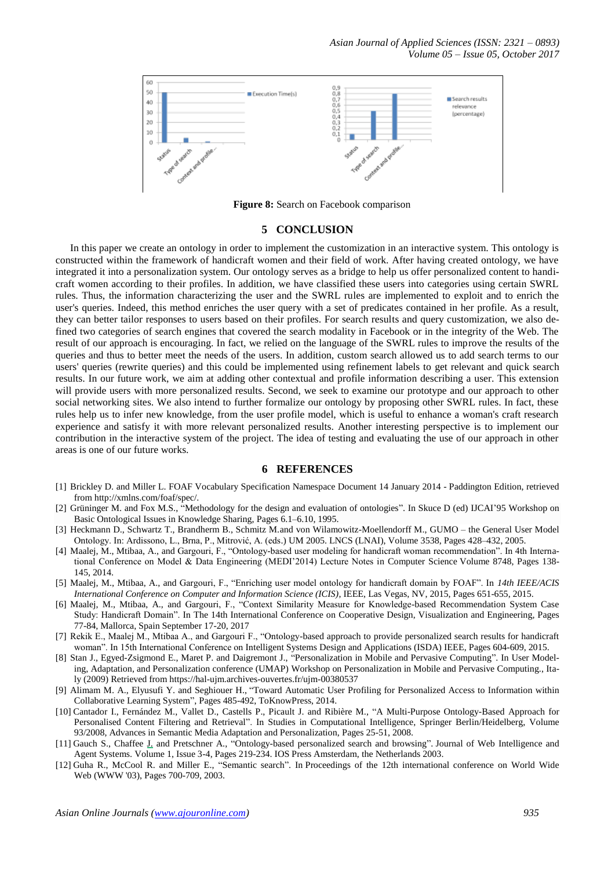*Asian Journal of Applied Sciences (ISSN: 2321 – 0893) Volume 05 – Issue 05, October 2017*



**Figure 8:** Search on Facebook comparison

#### **5 CONCLUSION**

In this paper we create an ontology in order to implement the customization in an interactive system. This ontology is constructed within the framework of handicraft women and their field of work. After having created ontology, we have integrated it into a personalization system. Our ontology serves as a bridge to help us offer personalized content to handicraft women according to their profiles. In addition, we have classified these users into categories using certain SWRL rules. Thus, the information characterizing the user and the SWRL rules are implemented to exploit and to enrich the user's queries. Indeed, this method enriches the user query with a set of predicates contained in her profile. As a result, they can better tailor responses to users based on their profiles. For search results and query customization, we also defined two categories of search engines that covered the search modality in Facebook or in the integrity of the Web. The result of our approach is encouraging. In fact, we relied on the language of the SWRL rules to improve the results of the queries and thus to better meet the needs of the users. In addition, custom search allowed us to add search terms to our users' queries (rewrite queries) and this could be implemented using refinement labels to get relevant and quick search results. In our future work, we aim at adding other contextual and profile information describing a user. This extension will provide users with more personalized results. Second, we seek to examine our prototype and our approach to other social networking sites. We also intend to further formalize our ontology by proposing other SWRL rules. In fact, these rules help us to infer new knowledge, from the user profile model, which is useful to enhance a woman's craft research experience and satisfy it with more relevant personalized results. Another interesting perspective is to implement our contribution in the interactive system of the project. The idea of testing and evaluating the use of our approach in other areas is one of our future works.

#### **6 REFERENCES**

- [1] Brickley D. and Miller L. FOAF Vocabulary Specification Namespace Document 14 January 2014 Paddington Edition, retrieved from http://xmlns.com/foaf/spec/.
- [2] Grüninger M. and Fox M.S., "Methodology for the design and evaluation of ontologies". In Skuce D (ed) IJCAI'95 Workshop on Basic Ontological Issues in Knowledge Sharing, Pages 6.1–6.10, 1995.
- [3] Heckmann D., Schwartz T., Brandherm B., Schmitz M.and von Wilamowitz-Moellendorff M., GUMO the General User Model Ontology. In: Ardissono, L., Brna, P., Mitrović, A. (eds.) UM 2005. LNCS (LNAI), Volume 3538, Pages 428–432, 2005.
- [4] Maalej, M., Mtibaa, A., and Gargouri, F., "Ontology-based user modeling for handicraft woman recommendation". In 4th International Conference on Model & Data Engineering (MEDI'2014) Lecture Notes in Computer Science Volume 8748, Pages 138- 145, 2014.
- [5] Maalej, M., Mtibaa, A., and Gargouri, F., "Enriching user model ontology for handicraft domain by FOAF". In *14th IEEE/ACIS International Conference on Computer and Information Science (ICIS)*, IEEE, Las Vegas, NV, 2015, Pages 651-655, 2015.
- [6] Maalej, M., Mtibaa, A., and Gargouri, F., "Context Similarity Measure for Knowledge-based Recommendation System Case Study: Handicraft Domain". In The 14th International Conference on Cooperative Design, Visualization and Engineering, Pages 77-84, Mallorca, Spain September 17-20, 2017
- [7] Rekik E., Maalej M., Mtibaa A., and Gargouri F., "Ontology-based approach to provide personalized search results for handicraft woman". In 15th International Conference on Intelligent Systems Design and Applications (ISDA) IEEE, Pages 604-609, 2015.
- [8] Stan J., Egyed-Zsigmond E., Maret P. and Daigremont J., "Personalization in Mobile and Pervasive Computing". In User Modeling, Adaptation, and Personalization conference (UMAP) Workshop on Personalization in Mobile and Pervasive Computing., Italy (2009) Retrieved from https://hal-ujm.archives-ouvertes.fr/ujm-00380537
- [9] Alimam M. A., Elyusufi Y. and Seghiouer H., ["Toward Automatic User Profiling for Personalized Access to Information within](http://econpapers.repec.org/RePEc:tkp:mklp14:485-492)  [Collaborative Learning System"](http://econpapers.repec.org/RePEc:tkp:mklp14:485-492), Pages 485-492, ToKnowPress, 2014.
- [10] Cantador I., Fernández M., Vallet D., Castells P., Picault J. and Ribière M., "A Multi-Purpose Ontology-Based Approach for Personalised Content Filtering and Retrieval". In Studies in Computational Intelligence, Springer Berlin/Heidelberg, Volume 93/2008, Advances in Semantic Media Adaptation and Personalization, Pages 25-51, 2008.
- [11] Gauch S., Chaffee J. and Pretschner A., "Ontology-based personalized search and browsing". Journal of Web Intelligence and Agent Systems. Volume 1, Issue 3-4, Pages 219-234. IOS Press Amsterdam, the Netherlands 2003.
- [12] Guha R., McCool R. and Miller E., "Semantic search". In Proceedings of the 12th international conference on World Wide Web (WWW '03), Pages 700-709, 2003.